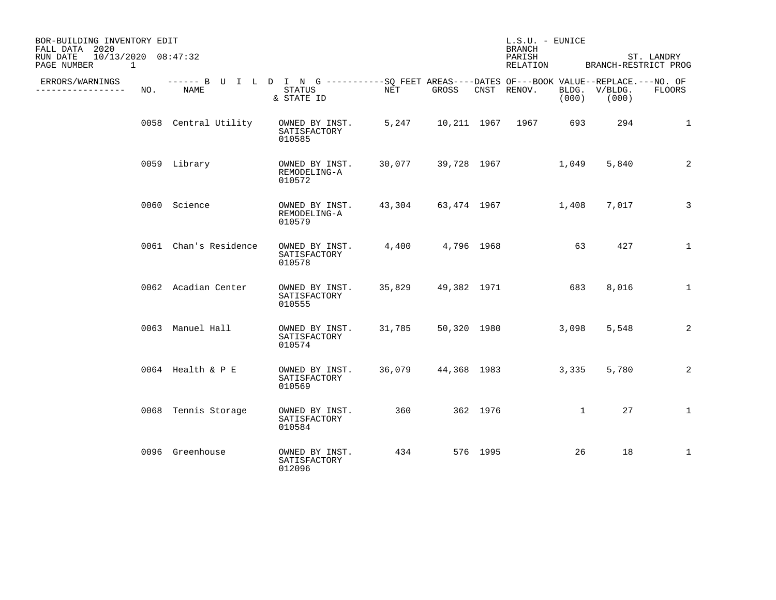| BOR-BUILDING INVENTORY EDIT<br>FALL DATA 2020<br>$10/13/2020$ $08:47:32$<br>RUN DATE<br>PAGE NUMBER<br>$\mathbf{1}$ |     |                       |                                                                                                                    |        | $L.S.U. - EUNICE$<br><b>BRANCH</b><br>PARISH<br>RELATION | ST. LANDRY<br>BRANCH-RESTRICT PROG |                   |              |                        |              |
|---------------------------------------------------------------------------------------------------------------------|-----|-----------------------|--------------------------------------------------------------------------------------------------------------------|--------|----------------------------------------------------------|------------------------------------|-------------------|--------------|------------------------|--------------|
| ERRORS/WARNINGS<br>. <u>.</u> .                                                                                     | NO. | NAME                  | ------ B U I L D I N G ----------SQ FEET AREAS----DATES OF---BOOK VALUE--REPLACE.---NO. OF<br>STATUS<br>& STATE ID | NET    | GROSS                                                    |                                    | CNST RENOV.       | (000)        | BLDG. V/BLDG.<br>(000) | FLOORS       |
|                                                                                                                     |     | 0058 Central Utility  | OWNED BY INST.<br>SATISFACTORY<br>010585                                                                           | 5,247  |                                                          |                                    | 10,211 1967 1967  | 693          | 294                    | $\mathbf 1$  |
|                                                                                                                     |     | 0059 Library          | OWNED BY INST.<br>REMODELING-A<br>010572                                                                           | 30,077 |                                                          |                                    | 39,728 1967       | 1,049        | 5,840                  | 2            |
|                                                                                                                     |     | 0060 Science          | OWNED BY INST.<br>REMODELING-A<br>010579                                                                           | 43,304 |                                                          |                                    | 63,474 1967 1,408 |              | 7,017                  | 3            |
|                                                                                                                     |     | 0061 Chan's Residence | OWNED BY INST.<br>SATISFACTORY<br>010578                                                                           | 4,400  | 4,796 1968                                               |                                    |                   | 63           | 427                    | $\mathbf{1}$ |
|                                                                                                                     |     | 0062 Acadian Center   | OWNED BY INST.<br>SATISFACTORY<br>010555                                                                           | 35,829 | 49,382 1971                                              |                                    |                   | 683          | 8,016                  | $\mathbf{1}$ |
|                                                                                                                     |     | 0063 Manuel Hall      | OWNED BY INST.<br>SATISFACTORY<br>010574                                                                           | 31,785 |                                                          |                                    | 50,320 1980       | 3,098        | 5,548                  | 2            |
|                                                                                                                     |     | 0064 Health & P E     | OWNED BY INST.<br>SATISFACTORY<br>010569                                                                           | 36,079 | 44,368 1983                                              |                                    |                   | 3,335        | 5,780                  | 2            |
|                                                                                                                     |     | 0068 Tennis Storage   | OWNED BY INST.<br>SATISFACTORY<br>010584                                                                           | 360    |                                                          | 362 1976                           |                   | $\mathbf{1}$ | 27                     | $\mathbf{1}$ |
|                                                                                                                     |     | 0096 Greenhouse       | OWNED BY INST.<br>SATISFACTORY<br>012096                                                                           | 434    |                                                          | 576 1995                           |                   | 26           | 18                     | $\mathbf{1}$ |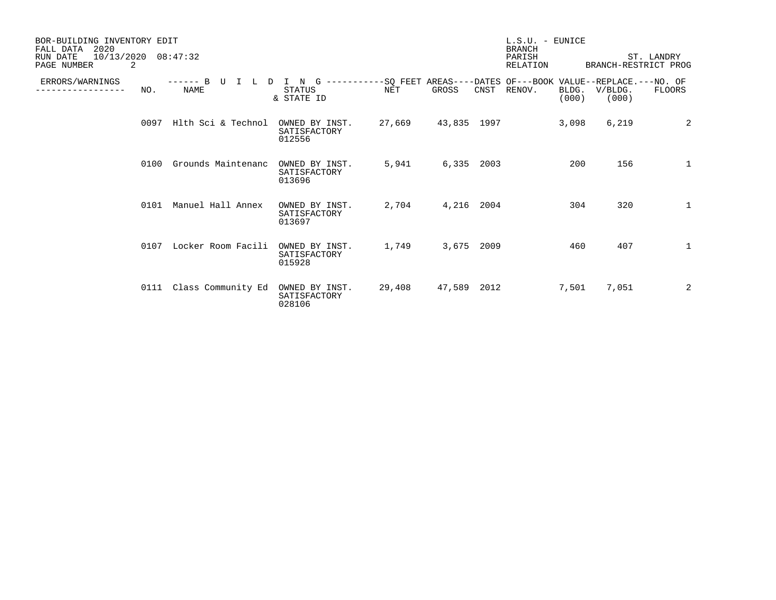| BOR-BUILDING INVENTORY EDIT<br>FALL DATA<br>2020<br>10/13/2020<br>08:47:32<br>RUN DATE<br>2<br>PAGE NUMBER |      |                               |                                                 |                                                                                   | $L.S.U. - EUNICE$<br><b>BRANCH</b><br>PARISH<br>RELATION | ST. LANDRY<br>BRANCH-RESTRICT PROG |        |                |                  |              |
|------------------------------------------------------------------------------------------------------------|------|-------------------------------|-------------------------------------------------|-----------------------------------------------------------------------------------|----------------------------------------------------------|------------------------------------|--------|----------------|------------------|--------------|
| ERRORS/WARNINGS                                                                                            | NO.  | $--- - - B$<br>T<br>D<br>NAME | $\mathbf N$<br>G<br><b>STATUS</b><br>& STATE ID | ----------SO FEET AREAS----DATES OF---BOOK VALUE--REPLACE.---NO. OF<br><b>NET</b> | GROSS                                                    | CNST                               | RENOV. | BLDG.<br>(000) | V/BLDG.<br>(000) | FLOORS       |
|                                                                                                            | 0097 | Hlth Sci & Technol            | OWNED BY INST.<br>SATISFACTORY<br>012556        | 27,669                                                                            | 43,835 1997                                              |                                    |        | 3,098          | 6,219            | 2            |
|                                                                                                            | 0100 | Grounds Maintenanc            | OWNED BY INST.<br>SATISFACTORY<br>013696        | 5,941                                                                             | 6,335 2003                                               |                                    |        | 200            | 156              | 1            |
|                                                                                                            | 0101 | Manuel Hall Annex             | OWNED BY INST.<br>SATISFACTORY<br>013697        | 2,704                                                                             | 4,216 2004                                               |                                    |        | 304            | 320              | 1            |
|                                                                                                            | 0107 | Locker Room Facili            | OWNED BY INST.<br>SATISFACTORY<br>015928        | 1,749                                                                             | 3,675 2009                                               |                                    |        | 460            | 407              | $\mathbf{1}$ |
|                                                                                                            | 0111 | Class Community Ed            | OWNED BY INST.<br>SATISFACTORY<br>028106        | 29,408                                                                            | 47,589 2012                                              |                                    |        | 7,501          | 7,051            | 2            |